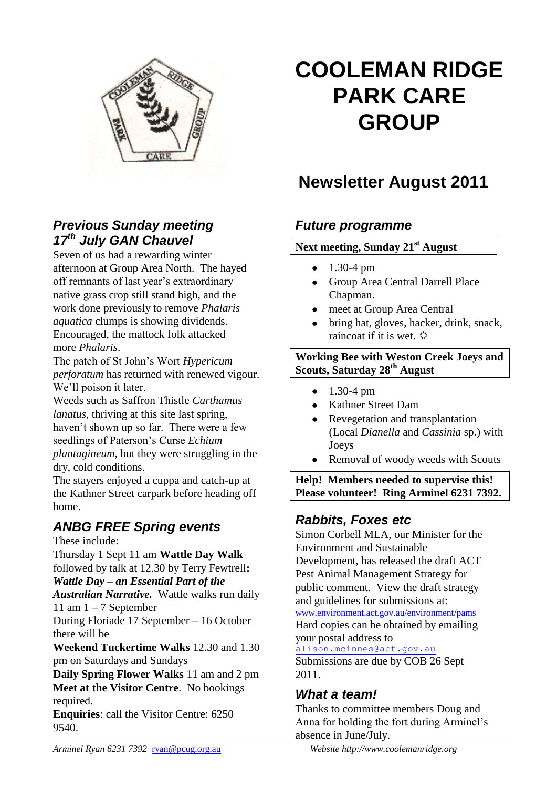

#### *Previous Sunday meeting 17th July GAN Chauvel*

Seven of us had a rewarding winter afternoon at Group Area North. The hayed off remnants of last year's extraordinary native grass crop still stand high, and the work done previously to remove *Phalaris aquatica* clumps is showing dividends. Encouraged, the mattock folk attacked more *Phalaris*.

The patch of St John's Wort *Hypericum perforatum* has returned with renewed vigour. We'll poison it later.

Weeds such as Saffron Thistle *Carthamus lanatus*, thriving at this site last spring, haven't shown up so far. There were a few seedlings of Paterson's Curse *Echium plantagineum*, but they were struggling in the dry, cold conditions.

The stayers enjoyed a cuppa and catch-up at the Kathner Street carpark before heading off home.

## *ANBG FREE Spring events*

These include:

Thursday 1 Sept 11 am **Wattle Day Walk**  followed by talk at 12.30 by Terry Fewtrell**:** *Wattle Day – an Essential Part of the* 

*Australian Narrative.*Wattle walks run daily 11 am  $1 - 7$  September

During Floriade 17 September – 16 October there will be

**Weekend Tuckertime Walks** 12.30 and 1.30 pm on Saturdays and Sundays

**Daily Spring Flower Walks** 11 am and 2 pm **Meet at the Visitor Centre**. No bookings required.

**Enquiries**: call the Visitor Centre: 6250 9540.

# **COOLEMAN RIDGE PARK CARE GROUP**

## **Newsletter August 2011**

## *Future programme*

#### **Next meeting, Sunday 21st August**

- 1.30-4 pm
- Group Area Central Darrell Place Chapman.
- meet at Group Area Central
- bring hat, gloves, hacker, drink, snack, raincoat if it is wet.  $\ddot{\varphi}$

#### **Working Bee with Weston Creek Joeys and Scouts, Saturday 28th August**

- $\bullet$  1.30-4 pm
- Kathner Street Dam
- Revegetation and transplantation (Local *Dianella* and *Cassinia* sp.) with Joeys
- Removal of woody weeds with Scouts

**Help! Members needed to supervise this! Please volunteer! Ring Arminel 6231 7392.**

## *Rabbits, Foxes etc*

Simon Corbell MLA, our Minister for the Environment and Sustainable Development, has released the draft ACT Pest Animal Management Strategy for public comment. View the draft strategy and guidelines for submissions at:

[www.environment.act.gov.au/environment/pams](http://www.environment.act.gov.au/environment/pams) Hard copies can be obtained by emailing your postal address to

[alison.mcinnes@act.gov.au](mailto:alison.mcinnes@act.gov.au) Submissions are due by COB 26 Sept 2011.

#### *What a team!*

Thanks to committee members Doug and Anna for holding the fort during Arminel's absence in June/July.